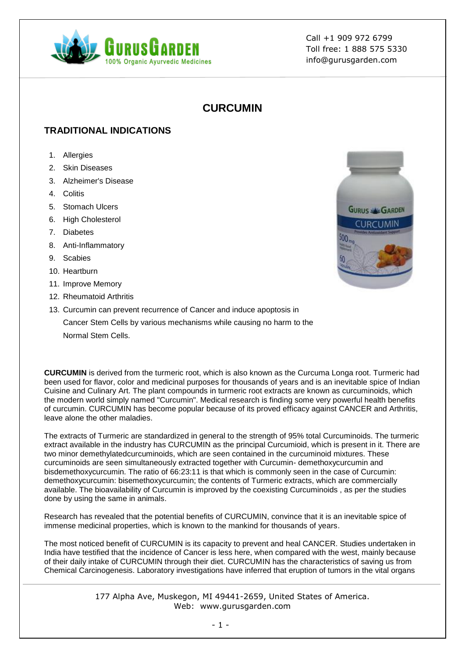

# **CURCUMIN**

## **TRADITIONAL INDICATIONS**

- 1. Allergies
- 2. Skin Diseases
- 3. Alzheimer's Disease
- 4. Colitis
- 5. Stomach Ulcers
- 6. High Cholesterol
- 7. Diabetes
- 8. Anti-Inflammatory
- 9. Scabies
- 10. Heartburn
- 11. Improve Memory
- 12. Rheumatoid Arthritis
- 13. Curcumin can prevent recurrence of Cancer and induce apoptosis in Cancer Stem Cells by various mechanisms while causing no harm to the Normal Stem Cells.

**CURCUMIN** is derived from the turmeric root, which is also known as the Curcuma Longa root. Turmeric had been used for flavor, color and medicinal purposes for thousands of years and is an inevitable spice of Indian Cuisine and Culinary Art. The plant compounds in turmeric root extracts are known as curcuminoids, which the modern world simply named "Curcumin". Medical research is finding some very powerful health benefits of curcumin. CURCUMIN has become popular because of its proved efficacy against CANCER and Arthritis, leave alone the other maladies.

The extracts of Turmeric are standardized in general to the strength of 95% total Curcuminoids. The turmeric extract available in the industry has CURCUMIN as the principal Curcumioid, which is present in it. There are two minor demethylatedcurcuminoids, which are seen contained in the curcuminoid mixtures. These curcuminoids are seen simultaneously extracted together with Curcumin- demethoxycurcumin and bisdemethoxycurcumin. The ratio of 66:23:11 is that which is commonly seen in the case of Curcumin: demethoxycurcumin: bisemethoxycurcumin; the contents of Turmeric extracts, which are commercially available. The bioavailability of Curcumin is improved by the coexisting Curcuminoids , as per the studies done by using the same in animals.

Research has revealed that the potential benefits of CURCUMIN, convince that it is an inevitable spice of immense medicinal properties, which is known to the mankind for thousands of years.

The most noticed benefit of CURCUMIN is its capacity to prevent and heal CANCER. Studies undertaken in India have testified that the incidence of Cancer is less here, when compared with the west, mainly because of their daily intake of CURCUMIN through their diet. CURCUMIN has the characteristics of saving us from Chemical Carcinogenesis. Laboratory investigations have inferred that eruption of tumors in the vital organs

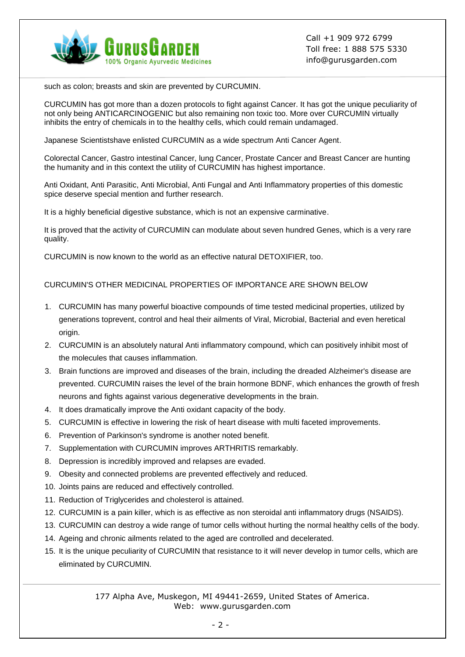

such as colon; breasts and skin are prevented by CURCUMIN.

CURCUMIN has got more than a dozen protocols to fight against Cancer. It has got the unique peculiarity of not only being ANTICARCINOGENIC but also remaining non toxic too. More over CURCUMIN virtually inhibits the entry of chemicals in to the healthy cells, which could remain undamaged.

Japanese Scientistshave enlisted CURCUMIN as a wide spectrum Anti Cancer Agent.

Colorectal Cancer, Gastro intestinal Cancer, lung Cancer, Prostate Cancer and Breast Cancer are hunting the humanity and in this context the utility of CURCUMIN has highest importance.

Anti Oxidant, Anti Parasitic, Anti Microbial, Anti Fungal and Anti Inflammatory properties of this domestic spice deserve special mention and further research.

It is a highly beneficial digestive substance, which is not an expensive carminative.

It is proved that the activity of CURCUMIN can modulate about seven hundred Genes, which is a very rare quality.

CURCUMIN is now known to the world as an effective natural DETOXIFIER, too.

#### CURCUMIN'S OTHER MEDICINAL PROPERTIES OF IMPORTANCE ARE SHOWN BELOW

- 1. CURCUMIN has many powerful bioactive compounds of time tested medicinal properties, utilized by generations toprevent, control and heal their ailments of Viral, Microbial, Bacterial and even heretical origin.
- 2. CURCUMIN is an absolutely natural Anti inflammatory compound, which can positively inhibit most of the molecules that causes inflammation.
- 3. Brain functions are improved and diseases of the brain, including the dreaded Alzheimer's disease are prevented. CURCUMIN raises the level of the brain hormone BDNF, which enhances the growth of fresh neurons and fights against various degenerative developments in the brain.
- 4. It does dramatically improve the Anti oxidant capacity of the body.
- 5. CURCUMIN is effective in lowering the risk of heart disease with multi faceted improvements.
- 6. Prevention of Parkinson's syndrome is another noted benefit.
- 7. Supplementation with CURCUMIN improves ARTHRITIS remarkably.
- 8. Depression is incredibly improved and relapses are evaded.
- 9. Obesity and connected problems are prevented effectively and reduced.
- 10. Joints pains are reduced and effectively controlled.
- 11. Reduction of Triglycerides and cholesterol is attained.
- 12. CURCUMIN is a pain killer, which is as effective as non steroidal anti inflammatory drugs (NSAIDS).
- 13. CURCUMIN can destroy a wide range of tumor cells without hurting the normal healthy cells of the body.
- 14. Ageing and chronic ailments related to the aged are controlled and decelerated.
- 15. It is the unique peculiarity of CURCUMIN that resistance to it will never develop in tumor cells, which are eliminated by CURCUMIN.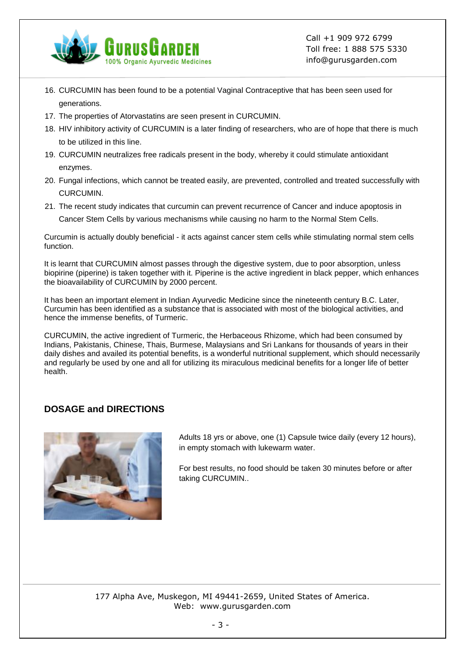

- 16. CURCUMIN has been found to be a potential Vaginal Contraceptive that has been seen used for generations.
- 17. The properties of Atorvastatins are seen present in CURCUMIN.
- 18. HIV inhibitory activity of CURCUMIN is a later finding of researchers, who are of hope that there is much to be utilized in this line.
- 19. CURCUMIN neutralizes free radicals present in the body, whereby it could stimulate antioxidant enzymes.
- 20. Fungal infections, which cannot be treated easily, are prevented, controlled and treated successfully with CURCUMIN.
- 21. The recent study indicates that curcumin can prevent recurrence of Cancer and induce apoptosis in Cancer Stem Cells by various mechanisms while causing no harm to the Normal Stem Cells.

Curcumin is actually doubly beneficial - it acts against cancer stem cells while stimulating normal stem cells function.

It is learnt that CURCUMIN almost passes through the digestive system, due to poor absorption, unless biopirine (piperine) is taken together with it. Piperine is the active ingredient in black pepper, which enhances the bioavailability of CURCUMIN by 2000 percent.

It has been an important element in Indian Ayurvedic Medicine since the nineteenth century B.C. Later, Curcumin has been identified as a substance that is associated with most of the biological activities, and hence the immense benefits, of Turmeric.

CURCUMIN, the active ingredient of Turmeric, the Herbaceous Rhizome, which had been consumed by Indians, Pakistanis, Chinese, Thais, Burmese, Malaysians and Sri Lankans for thousands of years in their daily dishes and availed its potential benefits, is a wonderful nutritional supplement, which should necessarily and regularly be used by one and all for utilizing its miraculous medicinal benefits for a longer life of better health.

### **DOSAGE and DIRECTIONS**



Adults 18 yrs or above, one (1) Capsule twice daily (every 12 hours), in empty stomach with lukewarm water.

For best results, no food should be taken 30 minutes before or after taking CURCUMIN..